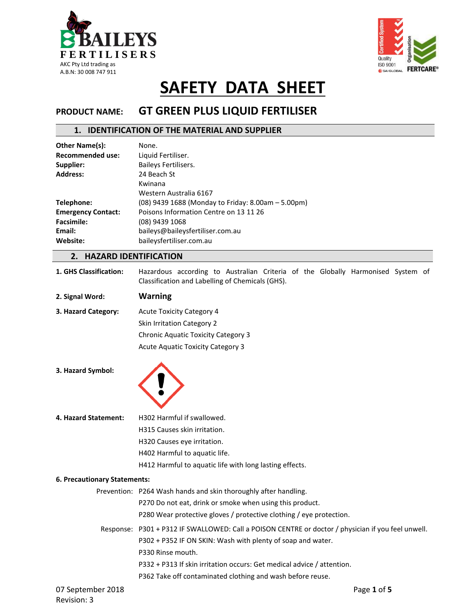



# **PRODUCT NAME: GT GREEN PLUS LIQUID FERTILISER**

### **1. IDENTIFICATION OF THE MATERIAL AND SUPPLIER**

| Other Name(s):            | None.                                              |  |  |
|---------------------------|----------------------------------------------------|--|--|
| <b>Recommended use:</b>   | Liquid Fertiliser.                                 |  |  |
| Supplier:                 | Baileys Fertilisers.                               |  |  |
| <b>Address:</b>           | 24 Beach St                                        |  |  |
|                           | Kwinana                                            |  |  |
|                           | Western Australia 6167                             |  |  |
| Telephone:                | (08) 9439 1688 (Monday to Friday: 8.00am - 5.00pm) |  |  |
| <b>Emergency Contact:</b> | Poisons Information Centre on 13 11 26             |  |  |
| <b>Facsimile:</b>         | (08) 9439 1068                                     |  |  |
| Email:                    | baileys@baileysfertiliser.com.au                   |  |  |
| Website:                  | baileysfertiliser.com.au                           |  |  |
|                           |                                                    |  |  |

## **2. HAZARD IDENTIFICATION**

**1. GHS Classification:** Hazardous according to Australian Criteria of the Globally Harmonised System of Classification and Labelling of Chemicals (GHS).

| 2. Signal Word: | <b>Warning</b> |
|-----------------|----------------|
|-----------------|----------------|

| 3. Hazard Category: | <b>Acute Toxicity Category 4</b>           |
|---------------------|--------------------------------------------|
|                     | <b>Skin Irritation Category 2</b>          |
|                     | <b>Chronic Aquatic Toxicity Category 3</b> |
|                     | Acute Aguatic Toxicity Category 3          |

**3. Hazard Symbol:** 



**4. Hazard Statement:** H302 Harmful if swallowed.

H315 Causes skin irritation.

H320 Causes eye irritation.

H402 Harmful to aquatic life.

H412 Harmful to aquatic life with long lasting effects.

#### **6. Precautionary Statements:**

|                   |  | Prevention: P264 Wash hands and skin thoroughly after handling.                                    |  |
|-------------------|--|----------------------------------------------------------------------------------------------------|--|
|                   |  | P270 Do not eat, drink or smoke when using this product.                                           |  |
|                   |  | P280 Wear protective gloves / protective clothing / eye protection.                                |  |
|                   |  | Response: P301 + P312 IF SWALLOWED: Call a POISON CENTRE or doctor / physician if you feel unwell. |  |
|                   |  | P302 + P352 IF ON SKIN: Wash with plenty of soap and water.                                        |  |
|                   |  | P330 Rinse mouth.                                                                                  |  |
|                   |  | P332 + P313 If skin irritation occurs: Get medical advice / attention.                             |  |
|                   |  | P362 Take off contaminated clothing and wash before reuse.                                         |  |
| 07 September 2018 |  | Page 1 of 5                                                                                        |  |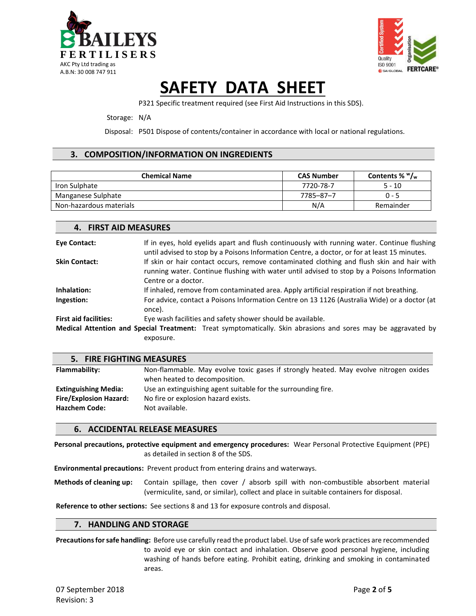



P321 Specific treatment required (see First Aid Instructions in this SDS).

#### Storage: N/A

Disposal: P501 Dispose of contents/container in accordance with local or national regulations.

### **3. COMPOSITION/INFORMATION ON INGREDIENTS**

| <b>Chemical Name</b>    | <b>CAS Number</b> | Contents % $W_{w}$ |
|-------------------------|-------------------|--------------------|
| Iron Sulphate           | 7720-78-7         | $5 - 10$           |
| Manganese Sulphate      | 7785-87-7         | $0 - 5$            |
| Non-hazardous materials | N/A               | Remainder          |

| 4. FIRST AID MEASURES        |                                                                                                                                                                                                                |  |  |
|------------------------------|----------------------------------------------------------------------------------------------------------------------------------------------------------------------------------------------------------------|--|--|
| <b>Eye Contact:</b>          | If in eyes, hold eyelids apart and flush continuously with running water. Continue flushing<br>until advised to stop by a Poisons Information Centre, a doctor, or for at least 15 minutes.                    |  |  |
| <b>Skin Contact:</b>         | If skin or hair contact occurs, remove contaminated clothing and flush skin and hair with<br>running water. Continue flushing with water until advised to stop by a Poisons Information<br>Centre or a doctor. |  |  |
| Inhalation:                  | If inhaled, remove from contaminated area. Apply artificial respiration if not breathing.                                                                                                                      |  |  |
| Ingestion:                   | For advice, contact a Poisons Information Centre on 13 1126 (Australia Wide) or a doctor (at<br>once).                                                                                                         |  |  |
| <b>First aid facilities:</b> | Eye wash facilities and safety shower should be available.                                                                                                                                                     |  |  |
|                              | <b>Medical Attention and Special Treatment:</b> Treat symptomatically. Skin abrasions and sores may be aggravated by                                                                                           |  |  |
|                              | exposure.                                                                                                                                                                                                      |  |  |
|                              |                                                                                                                                                                                                                |  |  |

| 5. FIRE FIGHTING MEASURES     |                                                                                                                       |
|-------------------------------|-----------------------------------------------------------------------------------------------------------------------|
| Flammability:                 | Non-flammable. May evolve toxic gases if strongly heated. May evolve nitrogen oxides<br>when heated to decomposition. |
| <b>Extinguishing Media:</b>   | Use an extinguishing agent suitable for the surrounding fire.                                                         |
| <b>Fire/Explosion Hazard:</b> | No fire or explosion hazard exists.                                                                                   |
| <b>Hazchem Code:</b>          | Not available.                                                                                                        |

### **6. ACCIDENTAL RELEASE MEASURES**

**Personal precautions, protective equipment and emergency procedures:** Wear Personal Protective Equipment (PPE) as detailed in section 8 of the SDS.

**Environmental precautions:** Prevent product from entering drains and waterways.

**Methods of cleaning up:** Contain spillage, then cover / absorb spill with non-combustible absorbent material (vermiculite, sand, or similar), collect and place in suitable containers for disposal.

**Reference to other sections:** See sections 8 and 13 for exposure controls and disposal.

### **7. HANDLING AND STORAGE**

**Precautions for safe handling:** Before use carefully read the product label. Use of safe work practices are recommended to avoid eye or skin contact and inhalation. Observe good personal hygiene, including washing of hands before eating. Prohibit eating, drinking and smoking in contaminated areas.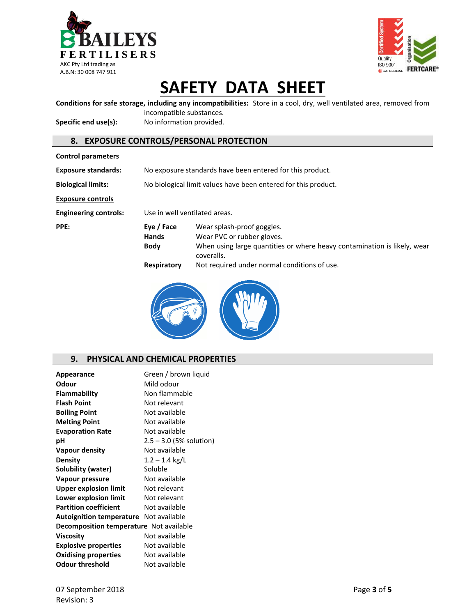



**Conditions for safe storage, including any incompatibilities:** Store in a cool, dry, well ventilated area, removed from

incompatible substances. Specific end use(s): No information provided.

### **8. EXPOSURE CONTROLS/PERSONAL PROTECTION**

| <b>Control parameters</b>    |                                                                                                                                                                                                 |                                                                |  |  |
|------------------------------|-------------------------------------------------------------------------------------------------------------------------------------------------------------------------------------------------|----------------------------------------------------------------|--|--|
| <b>Exposure standards:</b>   |                                                                                                                                                                                                 | No exposure standards have been entered for this product.      |  |  |
| <b>Biological limits:</b>    |                                                                                                                                                                                                 | No biological limit values have been entered for this product. |  |  |
| <b>Exposure controls</b>     |                                                                                                                                                                                                 |                                                                |  |  |
| <b>Engineering controls:</b> | Use in well ventilated areas.                                                                                                                                                                   |                                                                |  |  |
| PPE:                         | Eye / Face<br>Wear splash-proof goggles.<br><b>Hands</b><br>Wear PVC or rubber gloves.<br>When using large quantities or where heavy contamination is likely, wear<br><b>Body</b><br>coveralls. |                                                                |  |  |
|                              | Respiratory                                                                                                                                                                                     | Not required under normal conditions of use.                   |  |  |



### **9. PHYSICAL AND CHEMICAL PROPERTIES**

| Appearance                                    | Green / brown liquid      |  |
|-----------------------------------------------|---------------------------|--|
| Odour                                         | Mild odour                |  |
| Flammability                                  | Non flammable             |  |
| <b>Flash Point</b>                            | Not relevant              |  |
| <b>Boiling Point</b>                          | Not available             |  |
| <b>Melting Point</b>                          | Not available             |  |
| <b>Evaporation Rate</b>                       | Not available             |  |
| рH                                            | $2.5 - 3.0$ (5% solution) |  |
| Vapour density                                | Not available             |  |
| <b>Density</b>                                | $1.2 - 1.4$ kg/L          |  |
| Solubility (water)                            | Soluble                   |  |
| Vapour pressure                               | Not available             |  |
| <b>Upper explosion limit</b>                  | Not relevant              |  |
| Lower explosion limit                         | Not relevant              |  |
| <b>Partition coefficient</b>                  | Not available             |  |
| <b>Autoignition temperature</b> Not available |                           |  |
| Decomposition temperature Not available       |                           |  |
| <b>Viscosity</b>                              | Not available             |  |
| <b>Explosive properties</b>                   | Not available             |  |
| <b>Oxidising properties</b>                   | Not available             |  |
| Odour threshold                               | Not available             |  |
|                                               |                           |  |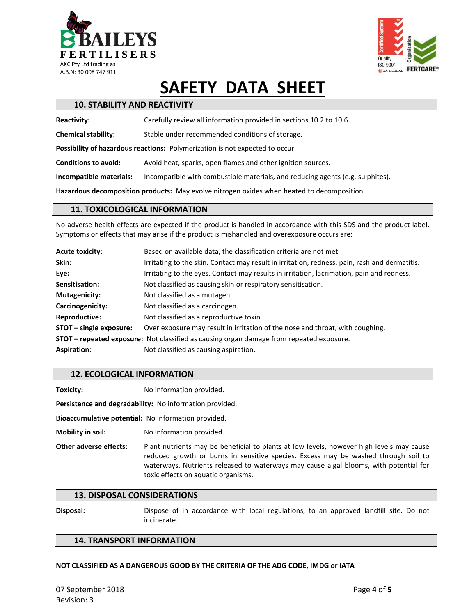



| <b>10. STABILITY AND REACTIVITY</b>                                                        |                                                                                |  |  |
|--------------------------------------------------------------------------------------------|--------------------------------------------------------------------------------|--|--|
| <b>Reactivity:</b>                                                                         | Carefully review all information provided in sections 10.2 to 10.6.            |  |  |
| <b>Chemical stability:</b>                                                                 | Stable under recommended conditions of storage.                                |  |  |
|                                                                                            | Possibility of hazardous reactions: Polymerization is not expected to occur.   |  |  |
| <b>Conditions to avoid:</b>                                                                | Avoid heat, sparks, open flames and other ignition sources.                    |  |  |
| Incompatible materials:                                                                    | Incompatible with combustible materials, and reducing agents (e.g. sulphites). |  |  |
| Hazardous decomposition products: May evolve nitrogen oxides when heated to decomposition. |                                                                                |  |  |

### **11. TOXICOLOGICAL INFORMATION**

No adverse health effects are expected if the product is handled in accordance with this SDS and the product label. Symptoms or effects that may arise if the product is mishandled and overexposure occurs are:

| <b>Acute toxicity:</b>    | Based on available data, the classification criteria are not met.                               |  |  |
|---------------------------|-------------------------------------------------------------------------------------------------|--|--|
| Skin:                     | Irritating to the skin. Contact may result in irritation, redness, pain, rash and dermatitis.   |  |  |
| Eye:                      | Irritating to the eyes. Contact may results in irritation, lacrimation, pain and redness.       |  |  |
| Sensitisation:            | Not classified as causing skin or respiratory sensitisation.                                    |  |  |
| <b>Mutagenicity:</b>      | Not classified as a mutagen.                                                                    |  |  |
| Carcinogenicity:          | Not classified as a carcinogen.                                                                 |  |  |
| <b>Reproductive:</b>      | Not classified as a reproductive toxin.                                                         |  |  |
| $STOT$ – single exposure: | Over exposure may result in irritation of the nose and throat, with coughing.                   |  |  |
|                           | <b>STOT – repeated exposure:</b> Not classified as causing organ damage from repeated exposure. |  |  |
| <b>Aspiration:</b>        | Not classified as causing aspiration.                                                           |  |  |

### **12. ECOLOGICAL INFORMATION**

**Toxicity:** No information provided.

**Persistence and degradability:** No information provided.

**Bioaccumulative potential:** No information provided.

**Mobility in soil:** No information provided.

**Other adverse effects:** Plant nutrients may be beneficial to plants at low levels, however high levels may cause reduced growth or burns in sensitive species. Excess may be washed through soil to waterways. Nutrients released to waterways may cause algal blooms, with potential for toxic effects on aquatic organisms.

#### **13. DISPOSAL CONSIDERATIONS**

**Disposal:** Dispose of in accordance with local regulations, to an approved landfill site. Do not incinerate.

### **14. TRANSPORT INFORMATION**

#### **NOT CLASSIFIED AS A DANGEROUS GOOD BY THE CRITERIA OF THE ADG CODE, IMDG or IATA**